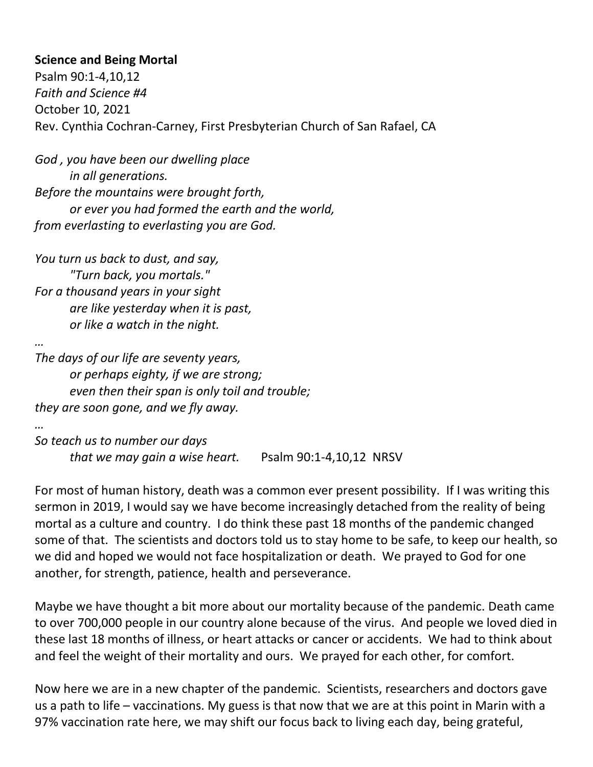## **Science and Being Mortal**

Psalm 90:1-4,10,12 *Faith and Science #4* October 10, 2021 Rev. Cynthia Cochran-Carney, First Presbyterian Church of San Rafael, CA

*God , you have been our dwelling place in all generations. Before the mountains were brought forth, or ever you had formed the earth and the world, from everlasting to everlasting you are God.*

*You turn us back to dust, and say, "Turn back, you mortals." For a thousand years in your sight are like yesterday when it is past, or like a watch in the night.*

*… The days of our life are seventy years, or perhaps eighty, if we are strong; even then their span is only toil and trouble; they are soon gone, and we fly away.*

*…*

*So teach us to number our days that we may gain a wise heart.* Psalm 90:1-4,10,12 NRSV

For most of human history, death was a common ever present possibility. If I was writing this sermon in 2019, I would say we have become increasingly detached from the reality of being mortal as a culture and country. I do think these past 18 months of the pandemic changed some of that. The scientists and doctors told us to stay home to be safe, to keep our health, so we did and hoped we would not face hospitalization or death. We prayed to God for one another, for strength, patience, health and perseverance.

Maybe we have thought a bit more about our mortality because of the pandemic. Death came to over 700,000 people in our country alone because of the virus. And people we loved died in these last 18 months of illness, or heart attacks or cancer or accidents. We had to think about and feel the weight of their mortality and ours. We prayed for each other, for comfort.

Now here we are in a new chapter of the pandemic. Scientists, researchers and doctors gave us a path to life – vaccinations. My guess is that now that we are at this point in Marin with a 97% vaccination rate here, we may shift our focus back to living each day, being grateful,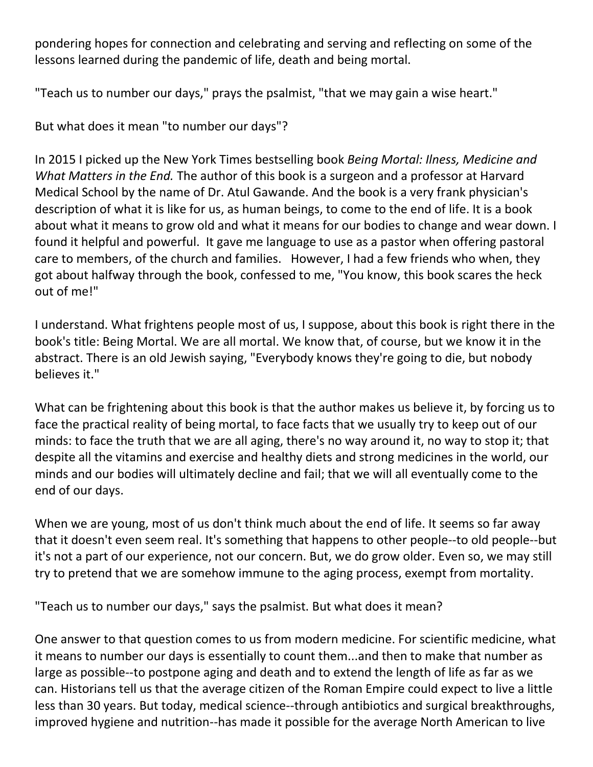pondering hopes for connection and celebrating and serving and reflecting on some of the lessons learned during the pandemic of life, death and being mortal.

"Teach us to number our days," prays the psalmist, "that we may gain a wise heart."

But what does it mean "to number our days"?

In 2015 I picked up the New York Times bestselling book *Being Mortal: Ilness, Medicine and What Matters in the End.* The author of this book is a surgeon and a professor at Harvard Medical School by the name of Dr. Atul Gawande. And the book is a very frank physician's description of what it is like for us, as human beings, to come to the end of life. It is a book about what it means to grow old and what it means for our bodies to change and wear down. I found it helpful and powerful. It gave me language to use as a pastor when offering pastoral care to members, of the church and families. However, I had a few friends who when, they got about halfway through the book, confessed to me, "You know, this book scares the heck out of me!"

I understand. What frightens people most of us, I suppose, about this book is right there in the book's title: Being Mortal. We are all mortal. We know that, of course, but we know it in the abstract. There is an old Jewish saying, "Everybody knows they're going to die, but nobody believes it."

What can be frightening about this book is that the author makes us believe it, by forcing us to face the practical reality of being mortal, to face facts that we usually try to keep out of our minds: to face the truth that we are all aging, there's no way around it, no way to stop it; that despite all the vitamins and exercise and healthy diets and strong medicines in the world, our minds and our bodies will ultimately decline and fail; that we will all eventually come to the end of our days.

When we are young, most of us don't think much about the end of life. It seems so far away that it doesn't even seem real. It's something that happens to other people--to old people--but it's not a part of our experience, not our concern. But, we do grow older. Even so, we may still try to pretend that we are somehow immune to the aging process, exempt from mortality.

"Teach us to number our days," says the psalmist. But what does it mean?

One answer to that question comes to us from modern medicine. For scientific medicine, what it means to number our days is essentially to count them...and then to make that number as large as possible--to postpone aging and death and to extend the length of life as far as we can. Historians tell us that the average citizen of the Roman Empire could expect to live a little less than 30 years. But today, medical science--through antibiotics and surgical breakthroughs, improved hygiene and nutrition--has made it possible for the average North American to live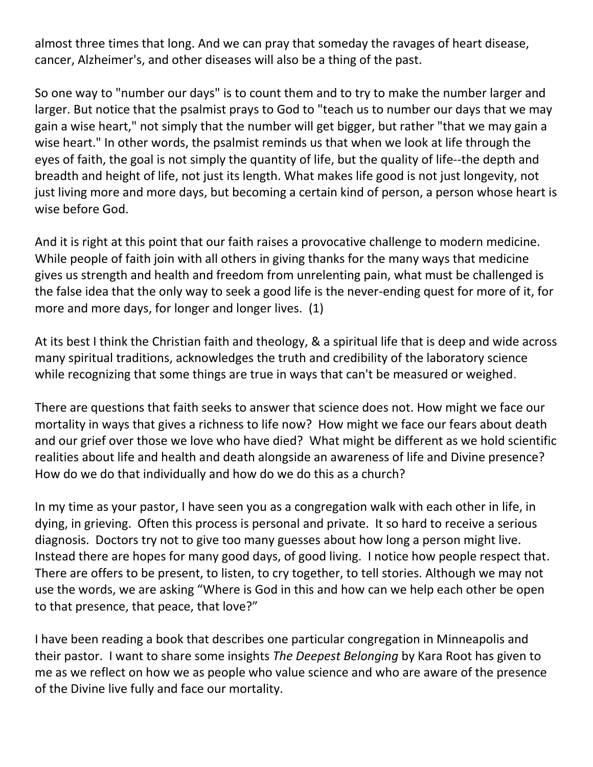almost three times that long. And we can pray that someday the ravages of heart disease, cancer, Alzheimer's, and other diseases will also be a thing of the past.

So one way to "number our days" is to count them and to try to make the number larger and larger. But notice that the psalmist prays to God to "teach us to number our days that we may gain a wise heart," not simply that the number will get bigger, but rather "that we may gain a wise heart." In other words, the psalmist reminds us that when we look at life through the eyes of faith, the goal is not simply the quantity of life, but the quality of life--the depth and breadth and height of life, not just its length. What makes life good is not just longevity, not just living more and more days, but becoming a certain kind of person, a person whose heart is wise before God.

And it is right at this point that our faith raises a provocative challenge to modern medicine. While people of faith join with all others in giving thanks for the many ways that medicine gives us strength and health and freedom from unrelenting pain, what must be challenged is the false idea that the only way to seek a good life is the never-ending quest for more of it, for more and more days, for longer and longer lives. (1)

At its best I think the Christian faith and theology, & a spiritual life that is deep and wide across many spiritual traditions, acknowledges the truth and credibility of the laboratory science while recognizing that some things are true in ways that can't be measured or weighed.

There are questions that faith seeks to answer that science does not. How might we face our mortality in ways that gives a richness to life now? How might we face our fears about death and our grief over those we love who have died? What might be different as we hold scientific realities about life and health and death alongside an awareness of life and Divine presence? How do we do that individually and how do we do this as a church?

In my time as your pastor, I have seen you as a congregation walk with each other in life, in dying, in grieving. Often this process is personal and private. It so hard to receive a serious diagnosis. Doctors try not to give too many guesses about how long a person might live. Instead there are hopes for many good days, of good living. I notice how people respect that. There are offers to be present, to listen, to cry together, to tell stories. Although we may not use the words, we are asking "Where is God in this and how can we help each other be open to that presence, that peace, that love?"

I have been reading a book that describes one particular congregation in Minneapolis and their pastor. I want to share some insights *The Deepest Belonging* by Kara Root has given to me as we reflect on how we as people who value science and who are aware of the presence of the Divine live fully and face our mortality.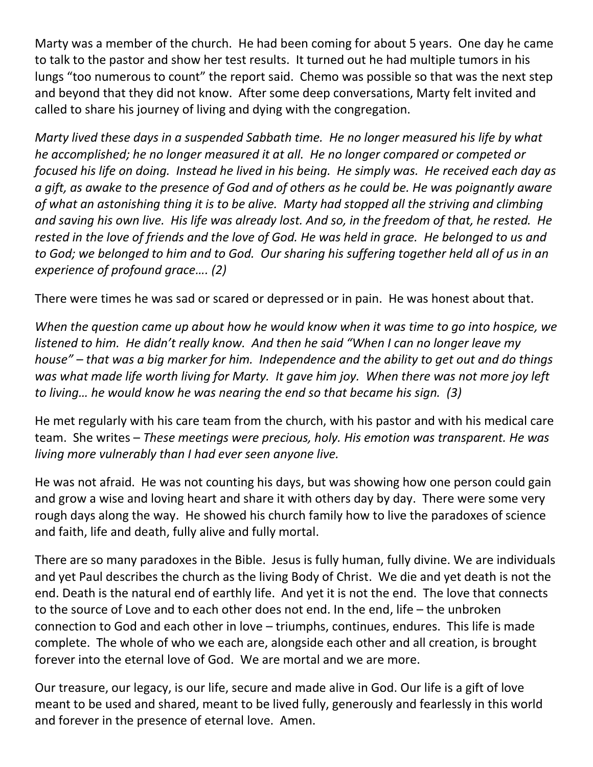Marty was a member of the church. He had been coming for about 5 years. One day he came to talk to the pastor and show her test results. It turned out he had multiple tumors in his lungs "too numerous to count" the report said. Chemo was possible so that was the next step and beyond that they did not know. After some deep conversations, Marty felt invited and called to share his journey of living and dying with the congregation.

*Marty lived these days in a suspended Sabbath time. He no longer measured his life by what he accomplished; he no longer measured it at all. He no longer compared or competed or focused his life on doing. Instead he lived in his being. He simply was. He received each day as a gift, as awake to the presence of God and of others as he could be. He was poignantly aware of what an astonishing thing it is to be alive. Marty had stopped all the striving and climbing and saving his own live. His life was already lost. And so, in the freedom of that, he rested. He rested in the love of friends and the love of God. He was held in grace. He belonged to us and to God; we belonged to him and to God. Our sharing his suffering together held all of us in an experience of profound grace…. (2)*

There were times he was sad or scared or depressed or in pain. He was honest about that.

*When the question came up about how he would know when it was time to go into hospice, we listened to him. He didn't really know. And then he said "When I can no longer leave my house" – that was a big marker for him. Independence and the ability to get out and do things was what made life worth living for Marty. It gave him joy. When there was not more joy left to living… he would know he was nearing the end so that became his sign. (3)*

He met regularly with his care team from the church, with his pastor and with his medical care team. She writes – *These meetings were precious, holy. His emotion was transparent. He was living more vulnerably than I had ever seen anyone live.* 

He was not afraid. He was not counting his days, but was showing how one person could gain and grow a wise and loving heart and share it with others day by day. There were some very rough days along the way. He showed his church family how to live the paradoxes of science and faith, life and death, fully alive and fully mortal.

There are so many paradoxes in the Bible. Jesus is fully human, fully divine. We are individuals and yet Paul describes the church as the living Body of Christ. We die and yet death is not the end. Death is the natural end of earthly life. And yet it is not the end. The love that connects to the source of Love and to each other does not end. In the end, life – the unbroken connection to God and each other in love – triumphs, continues, endures. This life is made complete. The whole of who we each are, alongside each other and all creation, is brought forever into the eternal love of God. We are mortal and we are more.

Our treasure, our legacy, is our life, secure and made alive in God. Our life is a gift of love meant to be used and shared, meant to be lived fully, generously and fearlessly in this world and forever in the presence of eternal love. Amen.